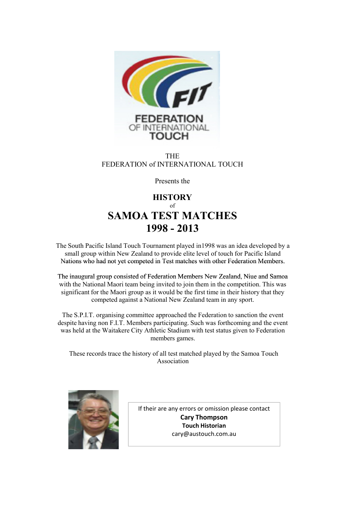

#### THE FEDERATION of INTERNATIONAL TOUCH

Presents the

### **HISTORY** of **SAMOA TEST MATCHES 1998 - 2013**

The South Pacific Island Touch Tournament played in1998 was an idea developed by a small group within New Zealand to provide elite level of touch for Pacific Island Nations who had not yet competed in Test matches with other Federation Members.

The inaugural group consisted of Federation Members New Zealand, Niue and Samoa with the National Maori team being invited to join them in the competition. This was significant for the Maori group as it would be the first time in their history that they competed against a National New Zealand team in any sport.

The S.P.I.T. organising committee approached the Federation to sanction the event despite having non F.I.T. Members participating. Such was forthcoming and the event was held at the Waitakere City Athletic Stadium with test status given to Federation members games.

Association These records trace the history of all test matched played by the Samoa Touch



If their are any errors or omission please contact **Cary Thompson Touch Historian** cary@austouch.com.au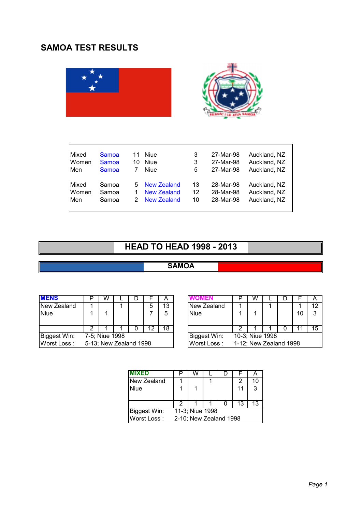## **SAMOA TEST RESULTS**





| Mixed<br>Women<br>Men        | Samoa<br>Samoa<br>Samoa | 11<br>10 | Niue<br>Niue<br>Niue                                    | 3<br>3<br>5    | 27-Mar-98<br>27-Mar-98<br>27-Mar-98 | Auckland, NZ<br>Auckland, NZ<br>Auckland, NZ |
|------------------------------|-------------------------|----------|---------------------------------------------------------|----------------|-------------------------------------|----------------------------------------------|
| Mixed<br>Women<br><b>Men</b> | Samoa<br>Samoa<br>Samoa | 5.<br>2  | New Zealand<br><b>New Zealand</b><br><b>New Zealand</b> | 13<br>12<br>10 | 28-Mar-98<br>28-Mar-98<br>28-Mar-98 | Auckland, NZ<br>Auckland, NZ<br>Auckland, NZ |

# **HEAD TO HEAD 1998 - 2013**

### **SAMOA**

| <b>MENS</b>         |                | w |                        |  |    | А  |              |                        | w |                 |  |    | A  |
|---------------------|----------------|---|------------------------|--|----|----|--------------|------------------------|---|-----------------|--|----|----|
| New Zealand         |                |   |                        |  | O  | 13 | New Zealand  |                        |   |                 |  |    | 12 |
| Niue                |                |   |                        |  |    | 5  | <b>Niue</b>  |                        |   |                 |  | 10 | 3  |
|                     |                |   |                        |  |    |    |              |                        |   |                 |  |    |    |
|                     |                |   |                        |  | 12 | 18 |              |                        |   |                 |  |    | 15 |
| <b>Biggest Win:</b> | 7-5; Niue 1998 |   |                        |  |    |    | Biggest Win: |                        |   | 10-3; Niue 1998 |  |    |    |
| Worst Loss:         |                |   | 5-13; New Zealand 1998 |  |    |    | Worst Loss:  | 1-12; New Zealand 1998 |   |                 |  |    |    |

|                      | W |  |  |  | A  |  |              |                        | W |  |  |  |    |
|----------------------|---|--|--|--|----|--|--------------|------------------------|---|--|--|--|----|
|                      |   |  |  |  | 13 |  | New Zealand  |                        |   |  |  |  | 12 |
|                      |   |  |  |  | 5  |  | Niue         |                        |   |  |  |  | 3  |
|                      |   |  |  |  |    |  |              |                        |   |  |  |  |    |
| 2                    |   |  |  |  | 18 |  |              |                        |   |  |  |  | 15 |
| 5; Niue 1998         |   |  |  |  |    |  | Biggest Win: | 10-3; Niue 1998        |   |  |  |  |    |
| 13; New Zealand 1998 |   |  |  |  |    |  | Worst Loss:  | 1-12; New Zealand 1998 |   |  |  |  |    |

| <b>MIXED</b>        |                        | W               |  |  |    |    |  |  |
|---------------------|------------------------|-----------------|--|--|----|----|--|--|
| New Zealand         |                        |                 |  |  |    | 10 |  |  |
| <b>Niue</b>         |                        |                 |  |  | 11 | 3  |  |  |
|                     |                        |                 |  |  |    |    |  |  |
|                     |                        |                 |  |  | 13 | 13 |  |  |
| <b>Biggest Win:</b> |                        | 11-3; Niue 1998 |  |  |    |    |  |  |
| Worst Loss:         | 2-10; New Zealand 1998 |                 |  |  |    |    |  |  |